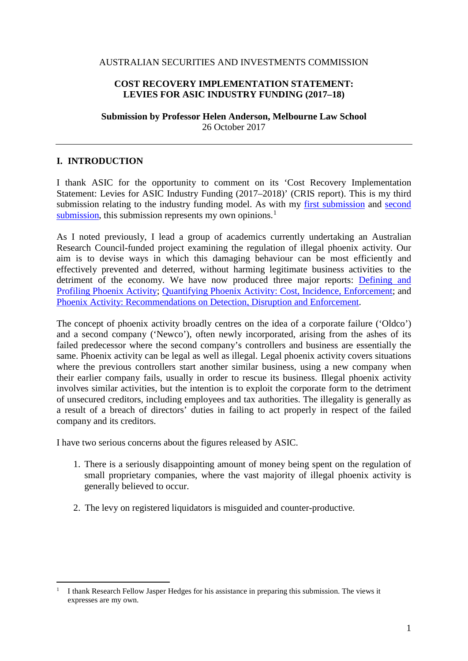#### AUSTRALIAN SECURITIES AND INVESTMENTS COMMISSION

#### **COST RECOVERY IMPLEMENTATION STATEMENT: LEVIES FOR ASIC INDUSTRY FUNDING (2017–18)**

**Submission by Professor Helen Anderson, Melbourne Law School** 26 October 2017

### **I. INTRODUCTION**

**.** 

I thank ASIC for the opportunity to comment on its 'Cost Recovery Implementation Statement: Levies for ASIC Industry Funding (2017–2018)' (CRIS report). This is my third submission relating to the industry funding model. As with my [first submission](http://law.unimelb.edu.au/__data/assets/pdf_file/0007/1732336/Sep-2015-Treasury-submission-on-ASIC-funding-Helen-Anderson.pdf) and [second](http://law.unimelb.edu.au/__data/assets/pdf_file/0005/2226893/Anderson,-H,-Submission-to-Treasury,-Proposed-Industry-Funding-Model-for-ASIC,-Proposals-Paper,-November-2016-28-November-2016.pdf)  [submission,](http://law.unimelb.edu.au/__data/assets/pdf_file/0005/2226893/Anderson,-H,-Submission-to-Treasury,-Proposed-Industry-Funding-Model-for-ASIC,-Proposals-Paper,-November-2016-28-November-2016.pdf) this submission represents my own opinions.<sup>[1](#page-0-0)</sup>

As I noted previously, I lead a group of academics currently undertaking an Australian Research Council-funded project examining the regulation of illegal phoenix activity. Our aim is to devise ways in which this damaging behaviour can be most efficiently and effectively prevented and deterred, without harming legitimate business activities to the detriment of the economy. We have now produced three major reports: [Defining and](http://law.unimelb.edu.au/__data/assets/pdf_file/0003/1730703/Defining-and-Profiling-Phoenix-Activity_Melbourne-Law-School.pdf)  [Profiling Phoenix Activity;](http://law.unimelb.edu.au/__data/assets/pdf_file/0003/1730703/Defining-and-Profiling-Phoenix-Activity_Melbourne-Law-School.pdf) [Quantifying Phoenix Activity: Cost, Incidence, Enforcement;](http://law.unimelb.edu.au/__data/assets/pdf_file/0004/2255350/Anderson,-Quantifying-Phoenix-Activity_Oct-2015.pdf) and [Phoenix Activity: Recommendations on Detection, Disruption and Enforcement.](http://law.unimelb.edu.au/__data/assets/pdf_file/0020/2274131/Phoenix-Activity-Recommendations-on-Detection-Disruption-and-Enforcement.pdf)

The concept of phoenix activity broadly centres on the idea of a corporate failure ('Oldco') and a second company ('Newco'), often newly incorporated, arising from the ashes of its failed predecessor where the second company's controllers and business are essentially the same. Phoenix activity can be legal as well as illegal. Legal phoenix activity covers situations where the previous controllers start another similar business, using a new company when their earlier company fails, usually in order to rescue its business. Illegal phoenix activity involves similar activities, but the intention is to exploit the corporate form to the detriment of unsecured creditors, including employees and tax authorities. The illegality is generally as a result of a breach of directors' duties in failing to act properly in respect of the failed company and its creditors.

I have two serious concerns about the figures released by ASIC.

- 1. There is a seriously disappointing amount of money being spent on the regulation of small proprietary companies, where the vast majority of illegal phoenix activity is generally believed to occur.
- 2. The levy on registered liquidators is misguided and counter-productive.

<span id="page-0-0"></span><sup>1</sup> I thank Research Fellow Jasper Hedges for his assistance in preparing this submission. The views it expresses are my own.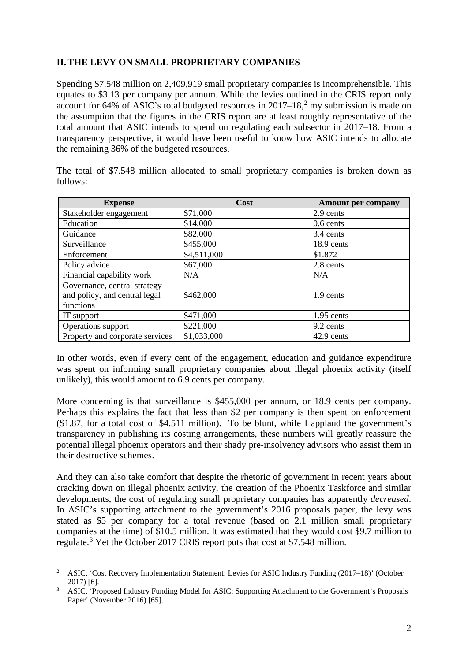## **II.THE LEVY ON SMALL PROPRIETARY COMPANIES**

Spending \$7.548 million on 2,409,919 small proprietary companies is incomprehensible. This equates to \$3.13 per company per annum. While the levies outlined in the CRIS report only account for 64% of ASIC's total budgeted resources in  $2017-18$  $2017-18$ ,<sup>2</sup> my submission is made on the assumption that the figures in the CRIS report are at least roughly representative of the total amount that ASIC intends to spend on regulating each subsector in 2017–18. From a transparency perspective, it would have been useful to know how ASIC intends to allocate the remaining 36% of the budgeted resources.

|                                 | Cost        |                           |  |
|---------------------------------|-------------|---------------------------|--|
| <b>Expense</b>                  |             | <b>Amount per company</b> |  |
| Stakeholder engagement          | \$71,000    | 2.9 cents                 |  |
| Education                       | \$14,000    | $0.6$ cents               |  |
| Guidance                        | \$82,000    | 3.4 cents                 |  |
| Surveillance                    | \$455,000   | 18.9 cents                |  |
| Enforcement                     | \$4,511,000 | \$1.872                   |  |
| Policy advice                   | \$67,000    | 2.8 cents                 |  |
| Financial capability work       | N/A         | N/A                       |  |
| Governance, central strategy    |             |                           |  |
| and policy, and central legal   | \$462,000   | 1.9 cents                 |  |
| functions                       |             |                           |  |
| IT support                      | \$471,000   | 1.95 cents                |  |
| Operations support              | \$221,000   | 9.2 cents                 |  |
| Property and corporate services | \$1,033,000 | 42.9 cents                |  |

The total of \$7.548 million allocated to small proprietary companies is broken down as follows:

In other words, even if every cent of the engagement, education and guidance expenditure was spent on informing small proprietary companies about illegal phoenix activity (itself unlikely), this would amount to 6.9 cents per company.

More concerning is that surveillance is \$455,000 per annum, or 18.9 cents per company. Perhaps this explains the fact that less than \$2 per company is then spent on enforcement (\$1.87, for a total cost of \$4.511 million). To be blunt, while I applaud the government's transparency in publishing its costing arrangements, these numbers will greatly reassure the potential illegal phoenix operators and their shady pre-insolvency advisors who assist them in their destructive schemes.

And they can also take comfort that despite the rhetoric of government in recent years about cracking down on illegal phoenix activity, the creation of the Phoenix Taskforce and similar developments, the cost of regulating small proprietary companies has apparently *decreased*. In ASIC's supporting attachment to the government's 2016 proposals paper, the levy was stated as \$5 per company for a total revenue (based on 2.1 million small proprietary companies at the time) of \$10.5 million. It was estimated that they would cost \$9.7 million to regulate.[3](#page-1-1) Yet the October 2017 CRIS report puts that cost at \$7.548 million.

**.** 

<span id="page-1-0"></span><sup>2</sup> ASIC, 'Cost Recovery Implementation Statement: Levies for ASIC Industry Funding (2017–18)' (October 2017) [6].

<span id="page-1-1"></span><sup>3</sup> ASIC, 'Proposed Industry Funding Model for ASIC: Supporting Attachment to the Government's Proposals Paper' (November 2016) [65].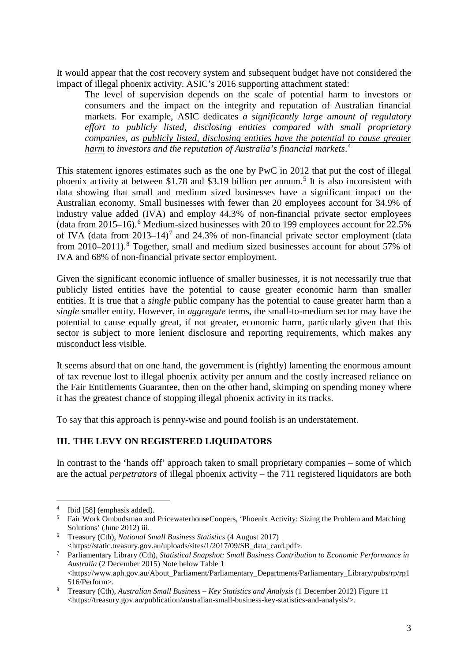It would appear that the cost recovery system and subsequent budget have not considered the impact of illegal phoenix activity. ASIC's 2016 supporting attachment stated:

The level of supervision depends on the scale of potential harm to investors or consumers and the impact on the integrity and reputation of Australian financial markets. For example, ASIC dedicates *a significantly large amount of regulatory effort to publicly listed, disclosing entities compared with small proprietary companies, as publicly listed, disclosing entities have the potential to cause greater harm to investors and the reputation of Australia's financial markets*. [4](#page-2-0)

This statement ignores estimates such as the one by PwC in 2012 that put the cost of illegal phoenix activity at between \$1.78 and \$3.19 billion per annum.<sup>[5](#page-2-1)</sup> It is also inconsistent with data showing that small and medium sized businesses have a significant impact on the Australian economy. Small businesses with fewer than 20 employees account for 34.9% of industry value added (IVA) and employ 44.3% of non-financial private sector employees (data from 2015–16). [6](#page-2-2) Medium-sized businesses with 20 to 199 employees account for 22.5% of IVA (data from  $2013-14$ )<sup>[7](#page-2-3)</sup> and 24.3% of non-financial private sector employment (data from 2010–2011).<sup>[8](#page-2-4)</sup> Together, small and medium sized businesses account for about 57% of IVA and 68% of non-financial private sector employment.

Given the significant economic influence of smaller businesses, it is not necessarily true that publicly listed entities have the potential to cause greater economic harm than smaller entities. It is true that a *single* public company has the potential to cause greater harm than a *single* smaller entity. However, in *aggregate* terms, the small-to-medium sector may have the potential to cause equally great, if not greater, economic harm, particularly given that this sector is subject to more lenient disclosure and reporting requirements, which makes any misconduct less visible.

It seems absurd that on one hand, the government is (rightly) lamenting the enormous amount of tax revenue lost to illegal phoenix activity per annum and the costly increased reliance on the Fair Entitlements Guarantee, then on the other hand, skimping on spending money where it has the greatest chance of stopping illegal phoenix activity in its tracks.

To say that this approach is penny-wise and pound foolish is an understatement.

# **III. THE LEVY ON REGISTERED LIQUIDATORS**

In contrast to the 'hands off' approach taken to small proprietary companies – some of which are the actual *perpetrators* of illegal phoenix activity – the 711 registered liquidators are both

**.** 

<span id="page-2-0"></span><sup>4</sup> Ibid [58] (emphasis added).

<span id="page-2-1"></span><sup>5</sup> Fair Work Ombudsman and PricewaterhouseCoopers, 'Phoenix Activity: Sizing the Problem and Matching Solutions' (June 2012) iii.

<span id="page-2-2"></span><sup>6</sup> Treasury (Cth), *National Small Business Statistics* (4 August 2017) [<https://static.treasury.gov.au/uploads/sites/1/2017/09/SB\\_data\\_card.pdf>](https://static.treasury.gov.au/uploads/sites/1/2017/09/SB_data_card.pdf).

<span id="page-2-3"></span><sup>7</sup> Parliamentary Library (Cth), *Statistical Snapshot: Small Business Contribution to Economic Performance in Australia* (2 December 2015) Note below Table 1  $\langle$ https://www.aph.gov.au/About\_Parliament/Parliamentary\_Departments/Parliamentary\_Library/pubs/rp/rp1<br>516/Perform>

<span id="page-2-4"></span><sup>&</sup>lt;sup>8</sup> Treasury (Cth), *Australian Small Business – Key Statistics and Analysis* (1 December 2012) Figure 11 [<https://treasury.gov.au/publication/australian-small-business-key-statistics-and-analysis/>](https://treasury.gov.au/publication/australian-small-business-key-statistics-and-analysis/).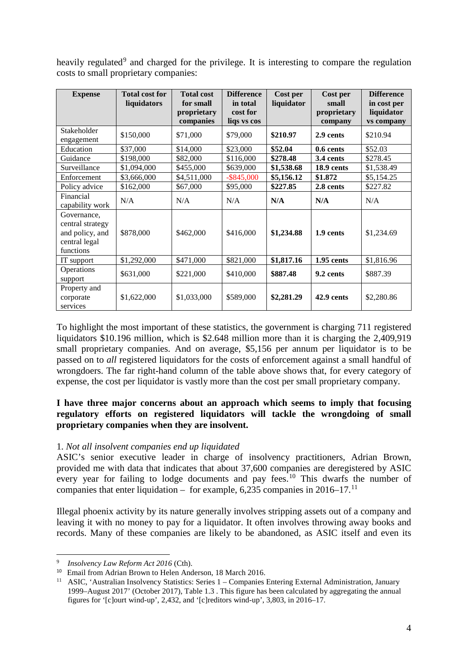heavily regulated<sup>[9](#page-3-0)</sup> and charged for the privilege. It is interesting to compare the regulation costs to small proprietary companies:

| <b>Expense</b>                                                                   | <b>Total cost for</b><br>liquidators | <b>Total cost</b><br>for small<br>proprietary<br>companies | <b>Difference</b><br>in total<br>cost for<br>liqs vs cos | Cost per<br>liquidator | <b>Cost per</b><br>small<br>proprietary<br>company | <b>Difference</b><br>in cost per<br>liquidator<br>vs company |
|----------------------------------------------------------------------------------|--------------------------------------|------------------------------------------------------------|----------------------------------------------------------|------------------------|----------------------------------------------------|--------------------------------------------------------------|
| Stakeholder<br>engagement                                                        | \$150,000                            | \$71,000                                                   | \$79,000                                                 | \$210.97               | 2.9 cents                                          | \$210.94                                                     |
| Education                                                                        | \$37,000                             | \$14,000                                                   | \$23,000                                                 | \$52.04                | 0.6 cents                                          | \$52.03                                                      |
| Guidance                                                                         | \$198,000                            | \$82,000                                                   | \$116,000                                                | \$278.48               | 3.4 cents                                          | \$278.45                                                     |
| Surveillance                                                                     | \$1,094,000                          | \$455,000                                                  | \$639,000                                                | \$1,538.68             | 18.9 cents                                         | \$1,538.49                                                   |
| Enforcement                                                                      | \$3,666,000                          | \$4,511,000                                                | $-$ \$845,000                                            | \$5,156.12             | \$1.872                                            | \$5,154.25                                                   |
| Policy advice                                                                    | \$162,000                            | \$67,000                                                   | \$95,000                                                 | \$227.85               | 2.8 cents                                          | \$227.82                                                     |
| Financial<br>capability work                                                     | N/A                                  | N/A                                                        | N/A                                                      | N/A                    | N/A                                                | N/A                                                          |
| Governance,<br>central strategy<br>and policy, and<br>central legal<br>functions | \$878,000                            | \$462,000                                                  | \$416,000                                                | \$1,234.88             | 1.9 cents                                          | \$1,234.69                                                   |
| IT support                                                                       | \$1,292,000                          | \$471,000                                                  | \$821,000                                                | \$1,817.16             | 1.95 cents                                         | \$1,816.96                                                   |
| Operations<br>support                                                            | \$631,000                            | \$221,000                                                  | \$410,000                                                | \$887.48               | 9.2 cents                                          | \$887.39                                                     |
| Property and<br>corporate<br>services                                            | \$1,622,000                          | \$1,033,000                                                | \$589,000                                                | \$2,281.29             | 42.9 cents                                         | \$2,280.86                                                   |

To highlight the most important of these statistics, the government is charging 711 registered liquidators \$10.196 million, which is \$2.648 million more than it is charging the 2,409,919 small proprietary companies. And on average, \$5,156 per annum per liquidator is to be passed on to *all* registered liquidators for the costs of enforcement against a small handful of wrongdoers. The far right-hand column of the table above shows that, for every category of expense, the cost per liquidator is vastly more than the cost per small proprietary company.

## **I have three major concerns about an approach which seems to imply that focusing regulatory efforts on registered liquidators will tackle the wrongdoing of small proprietary companies when they are insolvent.**

## 1. *Not all insolvent companies end up liquidated*

ASIC's senior executive leader in charge of insolvency practitioners, Adrian Brown, provided me with data that indicates that about 37,600 companies are deregistered by ASIC every year for failing to lodge documents and pay fees.<sup>[10](#page-3-1)</sup> This dwarfs the number of companies that enter liquidation – for example,  $6,235$  companies in 2016–17.<sup>[11](#page-3-2)</sup>

Illegal phoenix activity by its nature generally involves stripping assets out of a company and leaving it with no money to pay for a liquidator. It often involves throwing away books and records. Many of these companies are likely to be abandoned, as ASIC itself and even its

**.** 

<sup>9</sup> *Insolvency Law Reform Act 2016* (Cth).

<span id="page-3-1"></span><span id="page-3-0"></span><sup>&</sup>lt;sup>10</sup> Email from Adrian Brown to Helen Anderson, 18 March 2016.

<span id="page-3-2"></span><sup>&</sup>lt;sup>11</sup> ASIC, 'Australian Insolvency Statistics: Series 1 – Companies Entering External Administration, January 1999–August 2017' (October 2017), Table 1.3 . This figure has been calculated by aggregating the annual figures for '[c]ourt wind-up', 2,432, and '[c]reditors wind-up', 3,803, in 2016–17.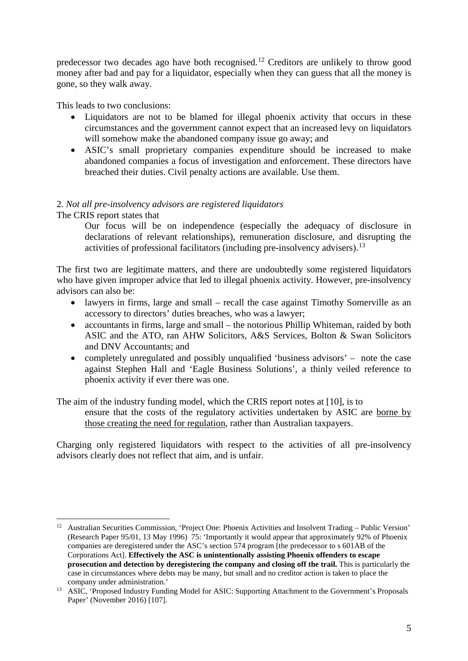predecessor two decades ago have both recognised.[12](#page-4-0) Creditors are unlikely to throw good money after bad and pay for a liquidator, especially when they can guess that all the money is gone, so they walk away.

This leads to two conclusions:

- Liquidators are not to be blamed for illegal phoenix activity that occurs in these circumstances and the government cannot expect that an increased levy on liquidators will somehow make the abandoned company issue go away; and
- ASIC's small proprietary companies expenditure should be increased to make abandoned companies a focus of investigation and enforcement. These directors have breached their duties. Civil penalty actions are available. Use them.

# 2. *Not all pre-insolvency advisors are registered liquidators*

## The CRIS report states that

**.** 

Our focus will be on independence (especially the adequacy of disclosure in declarations of relevant relationships), remuneration disclosure, and disrupting the activities of professional facilitators (including pre-insolvency advisers).<sup>[13](#page-4-1)</sup>

The first two are legitimate matters, and there are undoubtedly some registered liquidators who have given improper advice that led to illegal phoenix activity. However, pre-insolvency advisors can also be:

- lawyers in firms, large and small recall the case against Timothy Somerville as an accessory to directors' duties breaches, who was a lawyer;
- accountants in firms, large and small the notorious Phillip Whiteman, raided by both ASIC and the ATO, ran AHW Solicitors, A&S Services, Bolton & Swan Solicitors and DNV Accountants; and
- completely unregulated and possibly unqualified 'business advisors' note the case against Stephen Hall and 'Eagle Business Solutions', a thinly veiled reference to phoenix activity if ever there was one.

The aim of the industry funding model, which the CRIS report notes at [10], is to ensure that the costs of the regulatory activities undertaken by ASIC are borne by those creating the need for regulation, rather than Australian taxpayers.

Charging only registered liquidators with respect to the activities of all pre-insolvency advisors clearly does not reflect that aim, and is unfair.

<span id="page-4-0"></span><sup>&</sup>lt;sup>12</sup> Australian Securities Commission, 'Project One: Phoenix Activities and Insolvent Trading – Public Version' (Research Paper 95/01, 13 May 1996) 75: 'Importantly it would appear that approximately 92% of Phoenix companies are deregistered under the ASC's section 574 program [the predecessor to s 601AB of the Corporations Act]. **Effectively the ASC is unintentionally assisting Phoenix offenders to escape prosecution and detection by deregistering the company and closing off the trail.** This is particularly the case in circumstances where debts may be many, but small and no creditor action is taken to place the company under administration.'

<span id="page-4-1"></span><sup>&</sup>lt;sup>13</sup> ASIC, 'Proposed Industry Funding Model for ASIC: Supporting Attachment to the Government's Proposals Paper' (November 2016) [107].